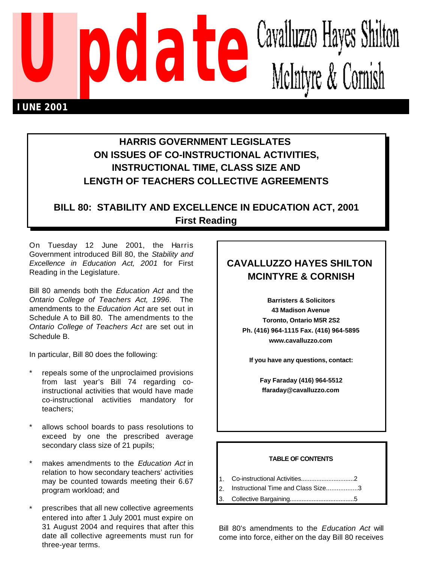

# **HARRIS GOVERNMENT LEGISLATES ON ISSUES OF CO-INSTRUCTIONAL ACTIVITIES, INSTRUCTIONAL TIME, CLASS SIZE AND LENGTH OF TEACHERS COLLECTIVE AGREEMENTS**

## **BILL 80: STABILITY AND EXCELLENCE IN EDUCATION ACT, 2001 First Reading**

On Tuesday 12 June 2001, the Harris Government introduced Bill 80, the *Stability and Excellence in Education Act, 2001* for First Reading in the Legislature.

Bill 80 amends both the *Education Act* and the *Ontario College of Teachers Act, 1996*. The amendments to the *Education Act* are set out in Schedule A to Bill 80. The amendments to the *Ontario College of Teachers Act* are set out in Schedule B.

In particular, Bill 80 does the following:

- repeals some of the unproclaimed provisions from last year's Bill 74 regarding coinstructional activities that would have made co-instructional activities mandatory for teachers;
- allows school boards to pass resolutions to exceed by one the prescribed average secondary class size of 21 pupils;
- \* makes amendments to the *Education Act* in relation to how secondary teachers' activities may be counted towards meeting their 6.67 program workload; and
- prescribes that all new collective agreements entered into after 1 July 2001 must expire on 31 August 2004 and requires that after this date all collective agreements must run for three-year terms.

# **CAVALLUZZO HAYES SHILTON MCINTYRE & CORNISH**

**Barristers & Solicitors 43 Madison Avenue Toronto, Ontario M5R 2S2 Ph. (416) 964-1115 Fax. (416) 964-5895 www.cavalluzzo.com**

**If you have any questions, contact:**

**Fay Faraday (416) 964-5512 ffaraday@cavalluzzo.com**

#### **TABLE OF CONTENTS**

- 1. Co-instructional Activities...............................2
- 2. Instructional Time and Class Size..................3
- 3. Collective Bargaining......................................5

Bill 80's amendments to the *Education Act* will come into force, either on the day Bill 80 receives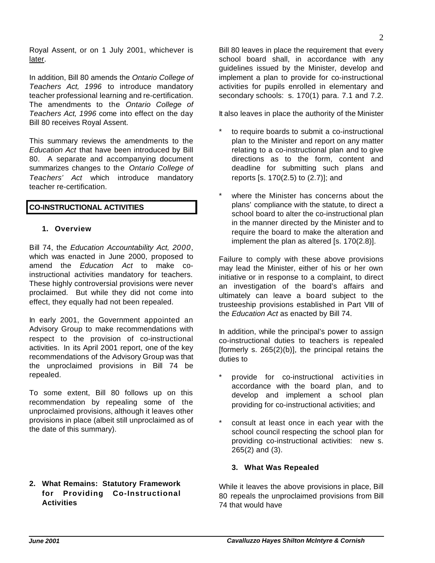Royal Assent, or on 1 July 2001, whichever is later.

In addition, Bill 80 amends the *Ontario College of Teachers Act, 1996* to introduce mandatory teacher professional learning and re-certification. The amendments to the *Ontario College of Teachers Act, 1996* come into effect on the day Bill 80 receives Royal Assent.

This summary reviews the amendments to the *Education Act* that have been introduced by Bill 80. A separate and accompanying document summarizes changes to the *Ontario College of Teachers' Act* which introduce mandatory teacher re-certification.

#### **CO-INSTRUCTIONAL ACTIVITIES**

#### **1. Overview**

Bill 74, the *Education Accountability Act, 2000*, which was enacted in June 2000, proposed to amend the *Education Act* to make coinstructional activities mandatory for teachers. These highly controversial provisions were never proclaimed. But while they did not come into effect, they equally had not been repealed.

In early 2001, the Government appointed an Advisory Group to make recommendations with respect to the provision of co-instructional activities. In its April 2001 report, one of the key recommendations of the Advisory Group was that the unproclaimed provisions in Bill 74 be repealed.

To some extent, Bill 80 follows up on this recommendation by repealing some of the unproclaimed provisions, although it leaves other provisions in place (albeit still unproclaimed as of the date of this summary).

### **2. What Remains: Statutory Framework for Providing Co-Instructional Activities**

Bill 80 leaves in place the requirement that every school board shall, in accordance with any guidelines issued by the Minister, develop and implement a plan to provide for co-instructional activities for pupils enrolled in elementary and secondary schools: s. 170(1) para. 7.1 and 7.2.

It also leaves in place the authority of the Minister

- to require boards to submit a co-instructional plan to the Minister and report on any matter relating to a co-instructional plan and to give directions as to the form, content and deadline for submitting such plans and reports [s. 170(2.5) to (2.7)]; and
- where the Minister has concerns about the plans' compliance with the statute, to direct a school board to alter the co-instructional plan in the manner directed by the Minister and to require the board to make the alteration and implement the plan as altered [s. 170(2.8)].

Failure to comply with these above provisions may lead the Minister, either of his or her own initiative or in response to a complaint, to direct an investigation of the board's affairs and ultimately can leave a board subject to the trusteeship provisions established in Part VIII of the *Education Act* as enacted by Bill 74.

In addition, while the principal's power to assign co-instructional duties to teachers is repealed [formerly s.  $265(2)(b)$ ], the principal retains the duties to

- provide for co-instructional activities in accordance with the board plan, and to develop and implement a school plan providing for co-instructional activities; and
- consult at least once in each year with the school council respecting the school plan for providing co-instructional activities: new s. 265(2) and (3).

### **3. What Was Repealed**

While it leaves the above provisions in place, Bill 80 repeals the unproclaimed provisions from Bill 74 that would have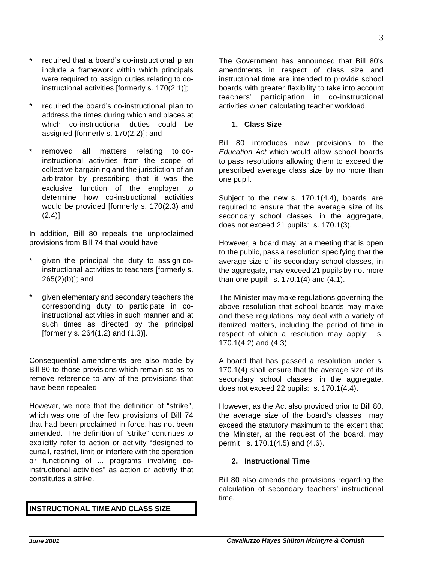*June 2001 Cavalluzzo Hayes Shilton McIntyre & Cornish*

- required that a board's co-instructional plan include a framework within which principals were required to assign duties relating to coinstructional activities [formerly s. 170(2.1)];
- required the board's co-instructional plan to address the times during which and places at which co-instructional duties could be assigned [formerly s. 170(2.2)]; and
- removed all matters relating to coinstructional activities from the scope of collective bargaining and the jurisdiction of an arbitrator by prescribing that it was the exclusive function of the employer to determine how co-instructional activities would be provided [formerly s. 170(2.3) and  $(2.4)$ ].

In addition, Bill 80 repeals the unproclaimed provisions from Bill 74 that would have

- given the principal the duty to assign coinstructional activities to teachers [formerly s. 265(2)(b)]; and
- given elementary and secondary teachers the corresponding duty to participate in coinstructional activities in such manner and at such times as directed by the principal [formerly s. 264(1.2) and (1.3)].

Consequential amendments are also made by Bill 80 to those provisions which remain so as to remove reference to any of the provisions that have been repealed.

However, we note that the definition of "strike", which was one of the few provisions of Bill 74 that had been proclaimed in force, has not been amended. The definition of "strike" continues to explicitly refer to action or activity "designed to curtail, restrict, limit or interfere with the operation or functioning of ... programs involving coinstructional activities" as action or activity that constitutes a strike.

### **INSTRUCTIONAL TIMEAND CLASS SIZE**

The Government has announced that Bill 80's amendments in respect of class size and instructional time are intended to provide school boards with greater flexibility to take into account teachers' participation in co-instructional activities when calculating teacher workload.

**1. Class Size**

Bill 80 introduces new provisions to the *Education Act* which would allow school boards to pass resolutions allowing them to exceed the prescribed average class size by no more than one pupil.

Subject to the new s. 170.1(4.4), boards are required to ensure that the average size of its secondary school classes, in the aggregate, does not exceed 21 pupils: s. 170.1(3).

However, a board may, at a meeting that is open to the public, pass a resolution specifying that the average size of its secondary school classes, in the aggregate, may exceed 21 pupils by not more than one pupil: s. 170.1(4) and (4.1).

The Minister may make regulations governing the above resolution that school boards may make and these regulations may deal with a variety of itemized matters, including the period of time in respect of which a resolution may apply: s. 170.1(4.2) and (4.3).

A board that has passed a resolution under s. 170.1(4) shall ensure that the average size of its secondary school classes, in the aggregate, does not exceed 22 pupils: s. 170.1(4.4).

However, as the Act also provided prior to Bill 80, the average size of the board's classes may exceed the statutory maximum to the extent that the Minister, at the request of the board, may permit: s. 170.1(4.5) and (4.6).

#### **2. Instructional Time**

Bill 80 also amends the provisions regarding the calculation of secondary teachers' instructional time.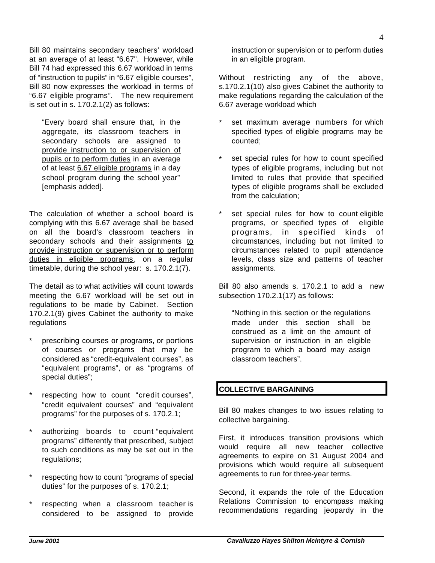Bill 80 maintains secondary teachers' workload at an average of at least "6.67". However, while Bill 74 had expressed this 6.67 workload in terms of "instruction to pupils" in "6.67 eligible courses", Bill 80 now expresses the workload in terms of "6.67 eligible programs". The new requirement is set out in s. 170.2.1(2) as follows:

"Every board shall ensure that, in the aggregate, its classroom teachers in secondary schools are assigned to provide instruction to or supervision of pupils or to perform duties in an average of at least 6.67 eligible programs in a day school program during the school year" [emphasis added].

The calculation of whether a school board is complying with this 6.67 average shall be based on all the board's classroom teachers in secondary schools and their assignments to provide instruction or supervision or to perform duties in eligible programs, on a regular timetable, during the school year: s. 170.2.1(7).

The detail as to what activities will count towards meeting the 6.67 workload will be set out in regulations to be made by Cabinet. Section 170.2.1(9) gives Cabinet the authority to make regulations

- prescribing courses or programs, or portions of courses or programs that may be considered as "credit-equivalent courses", as "equivalent programs", or as "programs of special duties";
- respecting how to count "credit courses", "credit equivalent courses" and "equivalent programs" for the purposes of s. 170.2.1;
- authorizing boards to count "equivalent programs" differently that prescribed, subject to such conditions as may be set out in the regulations;
- respecting how to count "programs of special duties" for the purposes of s. 170.2.1;
- respecting when a classroom teacher is considered to be assigned to provide

instruction or supervision or to perform duties in an eligible program.

Without restricting any of the above, s.170.2.1(10) also gives Cabinet the authority to make regulations regarding the calculation of the 6.67 average workload which

- set maximum average numbers for which specified types of eligible programs may be counted;
- set special rules for how to count specified types of eligible programs, including but not limited to rules that provide that specified types of eligible programs shall be excluded from the calculation;
- set special rules for how to count eligible programs, or specified types of eligible programs, in specified kinds of circumstances, including but not limited to circumstances related to pupil attendance levels, class size and patterns of teacher assignments.

Bill 80 also amends s. 170.2.1 to add a new subsection 170.2.1(17) as follows:

"Nothing in this section or the regulations made under this section shall be construed as a limit on the amount of supervision or instruction in an eligible program to which a board may assign classroom teachers".

### **COLLECTIVE BARGAINING**

Bill 80 makes changes to two issues relating to collective bargaining.

First, it introduces transition provisions which would require all new teacher collective agreements to expire on 31 August 2004 and provisions which would require all subsequent agreements to run for three-year terms.

Second, it expands the role of the Education Relations Commission to encompass making recommendations regarding jeopardy in the